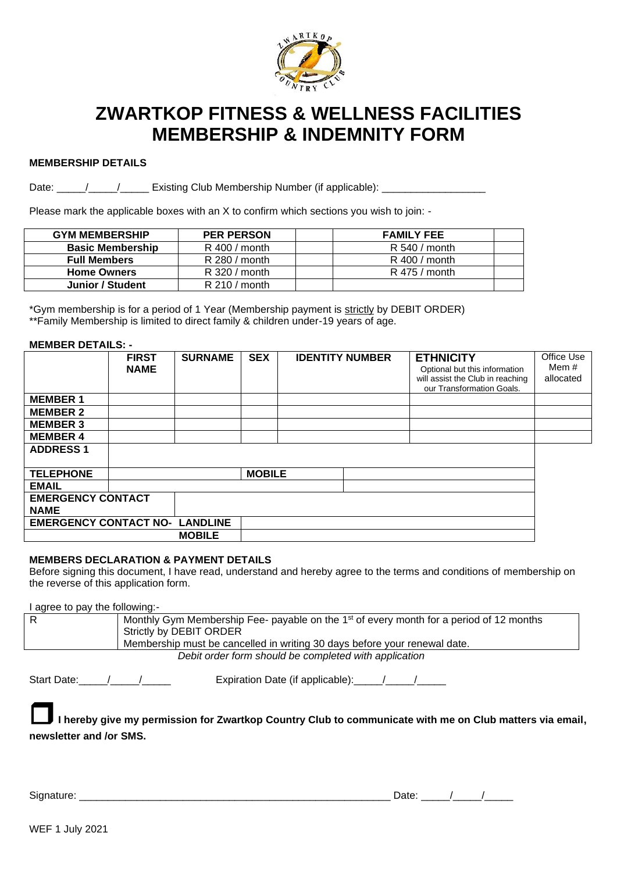

# **ZWARTKOP FITNESS & WELLNESS FACILITIES MEMBERSHIP & INDEMNITY FORM**

### **MEMBERSHIP DETAILS**

Date: \_\_\_\_\_/\_\_\_\_\_/\_\_\_\_\_\_\_ Existing Club Membership Number (if applicable): \_\_\_\_\_\_\_\_\_\_\_

Please mark the applicable boxes with an X to confirm which sections you wish to join: -

| <b>GYM MEMBERSHIP</b>   | <b>PER PERSON</b> | <b>FAMILY FEE</b> |  |
|-------------------------|-------------------|-------------------|--|
| <b>Basic Membership</b> | $R$ 400 / month   | R 540 / month     |  |
| <b>Full Members</b>     | $R$ 280 / month   | $R$ 400 / month   |  |
| <b>Home Owners</b>      | $R$ 320 / month   | $R$ 475 / month   |  |
| Junior / Student        | $R$ 210 / month   |                   |  |

\*Gym membership is for a period of 1 Year (Membership payment is strictly by DEBIT ORDER) \*\*Family Membership is limited to direct family & children under-19 years of age.

### **MEMBER DETAILS: -**

|                                       | <b>FIRST</b><br><b>NAME</b> | <b>SURNAME</b> | <b>SEX</b>    | <b>IDENTITY NUMBER</b> | <b>ETHNICITY</b><br>Optional but this information<br>will assist the Club in reaching<br>our Transformation Goals. | Office Use<br>Mem #<br>allocated |
|---------------------------------------|-----------------------------|----------------|---------------|------------------------|--------------------------------------------------------------------------------------------------------------------|----------------------------------|
| <b>MEMBER 1</b>                       |                             |                |               |                        |                                                                                                                    |                                  |
| <b>MEMBER 2</b>                       |                             |                |               |                        |                                                                                                                    |                                  |
| <b>MEMBER 3</b>                       |                             |                |               |                        |                                                                                                                    |                                  |
| <b>MEMBER 4</b>                       |                             |                |               |                        |                                                                                                                    |                                  |
| <b>ADDRESS1</b>                       |                             |                |               |                        |                                                                                                                    |                                  |
| <b>TELEPHONE</b>                      |                             |                | <b>MOBILE</b> |                        |                                                                                                                    |                                  |
| <b>EMAIL</b>                          |                             |                |               |                        |                                                                                                                    |                                  |
| <b>EMERGENCY CONTACT</b>              |                             |                |               |                        |                                                                                                                    |                                  |
| <b>NAME</b>                           |                             |                |               |                        |                                                                                                                    |                                  |
| <b>EMERGENCY CONTACT NO- LANDLINE</b> |                             |                |               |                        |                                                                                                                    |                                  |
|                                       |                             | <b>MOBILE</b>  |               |                        |                                                                                                                    |                                  |

# **MEMBERS DECLARATION & PAYMENT DETAILS**

Before signing this document, I have read, understand and hereby agree to the terms and conditions of membership on the reverse of this application form.

I agree to pay the following:-

| Monthly Gym Membership Fee- payable on the 1 <sup>st</sup> of every month for a period of 12 months<br>Strictly by DEBIT ORDER |
|--------------------------------------------------------------------------------------------------------------------------------|
| Membership must be cancelled in writing 30 days before your renewal date.                                                      |
| Dobit andor form abould be completed with application                                                                          |

*Debit order form should be completed with application*

Start Date:\_\_\_\_\_\_/\_\_\_\_\_\_\_\_\_\_\_\_\_\_\_\_\_\_\_\_\_\_\_\_\_ Expiration Date (if applicable):\_\_\_\_\_\_/\_\_\_\_\_\_\_\_\_\_\_\_\_\_\_\_\_\_\_\_\_\_\_\_\_\_\_

**I hereby give my permission for Zwartkop Country Club to communicate with me on Club matters via email, newsletter and /or SMS.**

Signature: \_\_\_\_\_\_\_\_\_\_\_\_\_\_\_\_\_\_\_\_\_\_\_\_\_\_\_\_\_\_\_\_\_\_\_\_\_\_\_\_\_\_\_\_\_\_\_\_\_\_\_\_\_\_ Date: \_\_\_\_\_/\_\_\_\_\_/\_\_\_\_\_